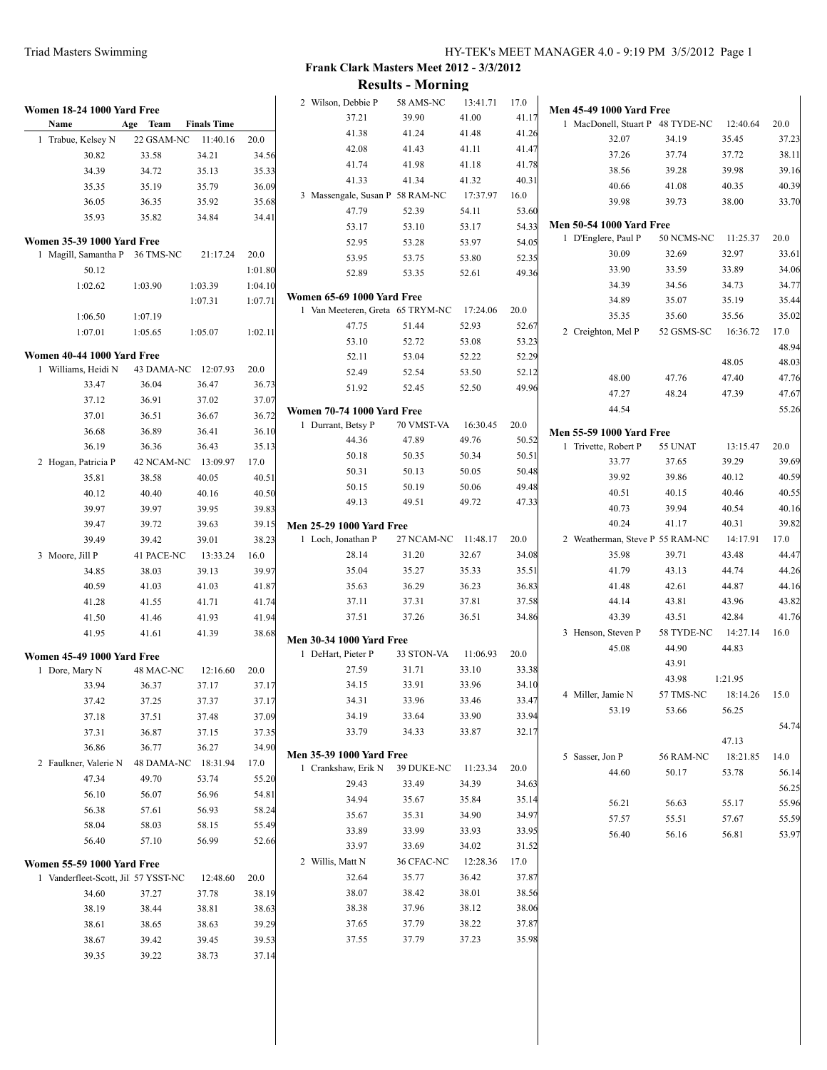**Results - Morning**

| 12:40.64<br>35.45<br>37.72<br>39.98<br>40.35<br>38.00<br>11:25.37<br>32.97<br>33.89<br>34.73<br>35.19<br>35.56<br>16:36.72<br>48.05<br>47.40<br>47.39 | 20.0<br>37.23<br>38.11<br>39.16<br>40.39<br>33.70<br>20.0<br>33.61<br>34.06<br>34.77<br>35.44<br>35.02<br>17.0<br>48.94<br>48.03 |
|-------------------------------------------------------------------------------------------------------------------------------------------------------|----------------------------------------------------------------------------------------------------------------------------------|
|                                                                                                                                                       |                                                                                                                                  |
|                                                                                                                                                       |                                                                                                                                  |
|                                                                                                                                                       |                                                                                                                                  |
|                                                                                                                                                       |                                                                                                                                  |
|                                                                                                                                                       |                                                                                                                                  |
|                                                                                                                                                       |                                                                                                                                  |
|                                                                                                                                                       |                                                                                                                                  |
|                                                                                                                                                       |                                                                                                                                  |
|                                                                                                                                                       |                                                                                                                                  |
|                                                                                                                                                       |                                                                                                                                  |
|                                                                                                                                                       |                                                                                                                                  |
|                                                                                                                                                       |                                                                                                                                  |
|                                                                                                                                                       |                                                                                                                                  |
|                                                                                                                                                       |                                                                                                                                  |
|                                                                                                                                                       |                                                                                                                                  |
|                                                                                                                                                       |                                                                                                                                  |
|                                                                                                                                                       |                                                                                                                                  |
|                                                                                                                                                       | 47.76                                                                                                                            |
|                                                                                                                                                       | 47.67                                                                                                                            |
|                                                                                                                                                       |                                                                                                                                  |
|                                                                                                                                                       | 55.26                                                                                                                            |
|                                                                                                                                                       |                                                                                                                                  |
| 13:15.47                                                                                                                                              | 20.0                                                                                                                             |
| 39.29                                                                                                                                                 | 39.69                                                                                                                            |
| 40.12                                                                                                                                                 | 40.59                                                                                                                            |
| 40.46                                                                                                                                                 | 40.55                                                                                                                            |
| 40.54                                                                                                                                                 | 40.16                                                                                                                            |
| 40.31                                                                                                                                                 | 39.82                                                                                                                            |
| 14:17.91                                                                                                                                              | 17.0                                                                                                                             |
| 43.48                                                                                                                                                 | 44.47                                                                                                                            |
| 44.74                                                                                                                                                 | 44.26                                                                                                                            |
| 44.87                                                                                                                                                 | 44.16                                                                                                                            |
| 43.96                                                                                                                                                 | 43.82                                                                                                                            |
| 42.84                                                                                                                                                 | 41.76                                                                                                                            |
| 14:27.14                                                                                                                                              | 16.0                                                                                                                             |
| 44.83                                                                                                                                                 |                                                                                                                                  |
|                                                                                                                                                       |                                                                                                                                  |
|                                                                                                                                                       |                                                                                                                                  |
|                                                                                                                                                       |                                                                                                                                  |
|                                                                                                                                                       |                                                                                                                                  |
|                                                                                                                                                       | 54.74                                                                                                                            |
|                                                                                                                                                       |                                                                                                                                  |
|                                                                                                                                                       | 14.0                                                                                                                             |
|                                                                                                                                                       |                                                                                                                                  |
|                                                                                                                                                       | 56.14                                                                                                                            |
|                                                                                                                                                       | 56.25                                                                                                                            |
|                                                                                                                                                       | 55.96                                                                                                                            |
|                                                                                                                                                       | 55.59                                                                                                                            |
|                                                                                                                                                       | 53.97                                                                                                                            |
|                                                                                                                                                       |                                                                                                                                  |
|                                                                                                                                                       |                                                                                                                                  |
|                                                                                                                                                       |                                                                                                                                  |
|                                                                                                                                                       |                                                                                                                                  |
|                                                                                                                                                       |                                                                                                                                  |
|                                                                                                                                                       |                                                                                                                                  |
|                                                                                                                                                       |                                                                                                                                  |
|                                                                                                                                                       |                                                                                                                                  |
|                                                                                                                                                       | 1:21.95<br>57 TMS-NC 18:14.26 15.0<br>56.25<br>47.13<br>18:21.85<br>53.78<br>55.17<br>57.67<br>56.81                             |